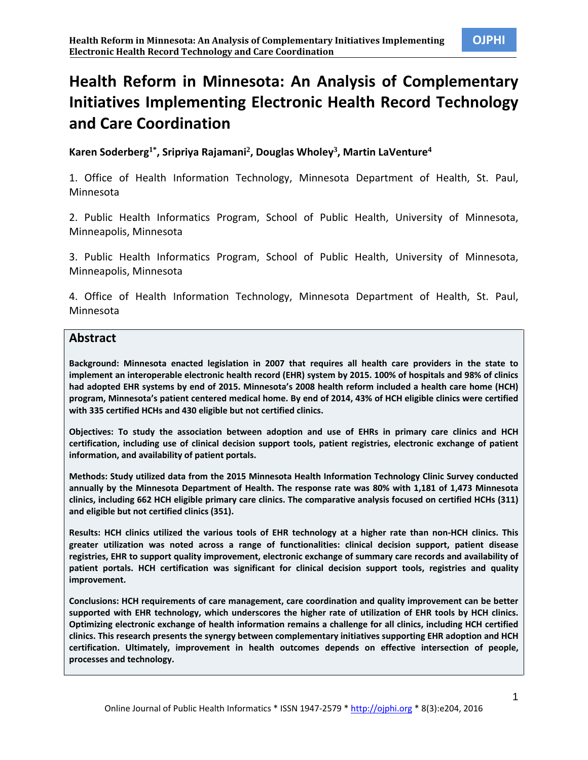# **Health Reform in Minnesota: An Analysis of Complementary Initiatives Implementing Electronic Health Record Technology and Care Coordination**

**Karen Soderberg1\*, Sripriya Rajamani<sup>2</sup> , Douglas Wholey<sup>3</sup> , Martin LaVenture<sup>4</sup>**

1. Office of Health Information Technology, Minnesota Department of Health, St. Paul, Minnesota

2. Public Health Informatics Program, School of Public Health, University of Minnesota, Minneapolis, Minnesota

3. Public Health Informatics Program, School of Public Health, University of Minnesota, Minneapolis, Minnesota

4. Office of Health Information Technology, Minnesota Department of Health, St. Paul, Minnesota

## **Abstract**

**Background: Minnesota enacted legislation in 2007 that requires all health care providers in the state to implement an interoperable electronic health record (EHR) system by 2015. 100% of hospitals and 98% of clinics had adopted EHR systems by end of 2015. Minnesota's 2008 health reform included a health care home (HCH) program, Minnesota's patient centered medical home. By end of 2014, 43% of HCH eligible clinics were certified with 335 certified HCHs and 430 eligible but not certified clinics.**

**Objectives: To study the association between adoption and use of EHRs in primary care clinics and HCH certification, including use of clinical decision support tools, patient registries, electronic exchange of patient information, and availability of patient portals.**

**Methods: Study utilized data from the 2015 Minnesota Health Information Technology Clinic Survey conducted annually by the Minnesota Department of Health. The response rate was 80% with 1,181 of 1,473 Minnesota clinics, including 662 HCH eligible primary care clinics. The comparative analysis focused on certified HCHs (311) and eligible but not certified clinics (351).**

**Results: HCH clinics utilized the various tools of EHR technology at a higher rate than non-HCH clinics. This greater utilization was noted across a range of functionalities: clinical decision support, patient disease registries, EHR to support quality improvement, electronic exchange of summary care records and availability of patient portals. HCH certification was significant for clinical decision support tools, registries and quality improvement.**

**Conclusions: HCH requirements of care management, care coordination and quality improvement can be better supported with EHR technology, which underscores the higher rate of utilization of EHR tools by HCH clinics. Optimizing electronic exchange of health information remains a challenge for all clinics, including HCH certified clinics. This research presents the synergy between complementary initiatives supporting EHR adoption and HCH certification. Ultimately, improvement in health outcomes depends on effective intersection of people, processes and technology.**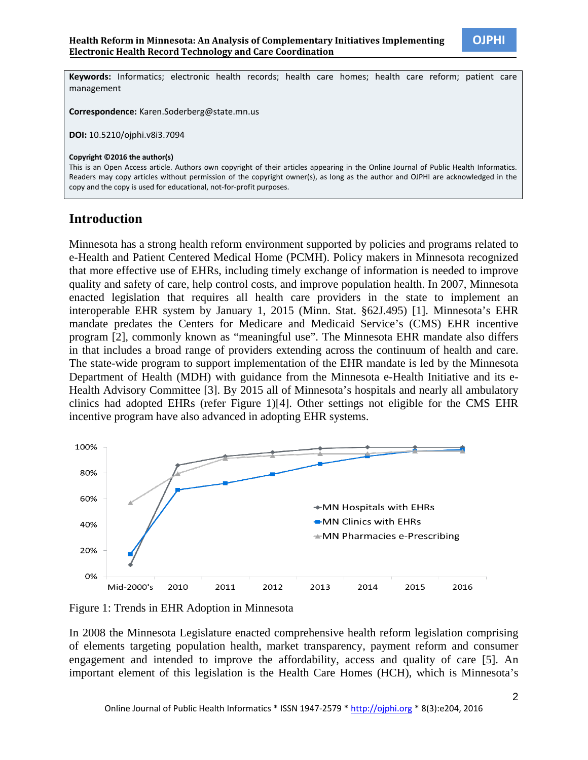**Keywords:** Informatics; electronic health records; health care homes; health care reform; patient care management

**Correspondence:** Karen.Soderberg@state.mn.us

**DOI:** 10.5210/ojphi.v8i3.7094

**Copyright ©2016 the author(s)**

This is an Open Access article. Authors own copyright of their articles appearing in the Online Journal of Public Health Informatics. Readers may copy articles without permission of the copyright owner(s), as long as the author and OJPHI are acknowledged in the copy and the copy is used for educational, not-for-profit purposes.

## **Introduction**

Minnesota has a strong health reform environment supported by policies and programs related to e-Health and Patient Centered Medical Home (PCMH). Policy makers in Minnesota recognized that more effective use of EHRs, including timely exchange of information is needed to improve quality and safety of care, help control costs, and improve population health. In 2007, Minnesota enacted legislation that requires all health care providers in the state to implement an interoperable EHR system by January 1, 2015 (Minn. Stat. §62J.495) [1]. Minnesota's EHR mandate predates the Centers for Medicare and Medicaid Service's (CMS) EHR incentive program [2], commonly known as "meaningful use". The Minnesota EHR mandate also differs in that includes a broad range of providers extending across the continuum of health and care. The state-wide program to support implementation of the EHR mandate is led by the Minnesota Department of Health (MDH) with guidance from the Minnesota e-Health Initiative and its e-Health Advisory Committee [3]. By 2015 all of Minnesota's hospitals and nearly all ambulatory clinics had adopted EHRs (refer Figure 1)[4]. Other settings not eligible for the CMS EHR incentive program have also advanced in adopting EHR systems.



Figure 1: Trends in EHR Adoption in Minnesota

In 2008 the Minnesota Legislature enacted comprehensive health reform legislation comprising of elements targeting population health, market transparency, payment reform and consumer engagement and intended to improve the affordability, access and quality of care [5]. An important element of this legislation is the Health Care Homes (HCH), which is Minnesota's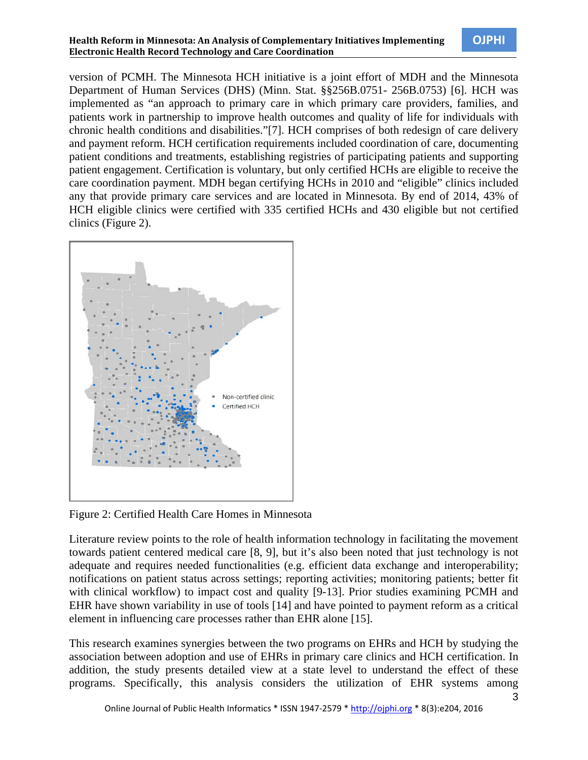#### **Health Reform in Minnesota: An Analysis of Complementary Initiatives Implementing OJPHI Electronic Health Record Technology and Care Coordination**

version of PCMH. The Minnesota HCH initiative is a joint effort of MDH and the Minnesota Department of Human Services (DHS) (Minn. Stat. §§256B.0751- 256B.0753) [6]. HCH was implemented as "an approach to primary care in which primary care providers, families, and patients work in partnership to improve health outcomes and quality of life for individuals with chronic health conditions and disabilities."[7]. HCH comprises of both redesign of care delivery and payment reform. HCH certification requirements included coordination of care, documenting patient conditions and treatments, establishing registries of participating patients and supporting patient engagement. Certification is voluntary, but only certified HCHs are eligible to receive the care coordination payment. MDH began certifying HCHs in 2010 and "eligible" clinics included any that provide primary care services and are located in Minnesota. By end of 2014, 43% of HCH eligible clinics were certified with 335 certified HCHs and 430 eligible but not certified clinics (Figure 2).



Figure 2: Certified Health Care Homes in Minnesota

Literature review points to the role of health information technology in facilitating the movement towards patient centered medical care [8, 9], but it's also been noted that just technology is not adequate and requires needed functionalities (e.g. efficient data exchange and interoperability; notifications on patient status across settings; reporting activities; monitoring patients; better fit with clinical workflow) to impact cost and quality [9-13]. Prior studies examining PCMH and EHR have shown variability in use of tools [14] and have pointed to payment reform as a critical element in influencing care processes rather than EHR alone [15].

This research examines synergies between the two programs on EHRs and HCH by studying the association between adoption and use of EHRs in primary care clinics and HCH certification. In addition, the study presents detailed view at a state level to understand the effect of these programs. Specifically, this analysis considers the utilization of EHR systems among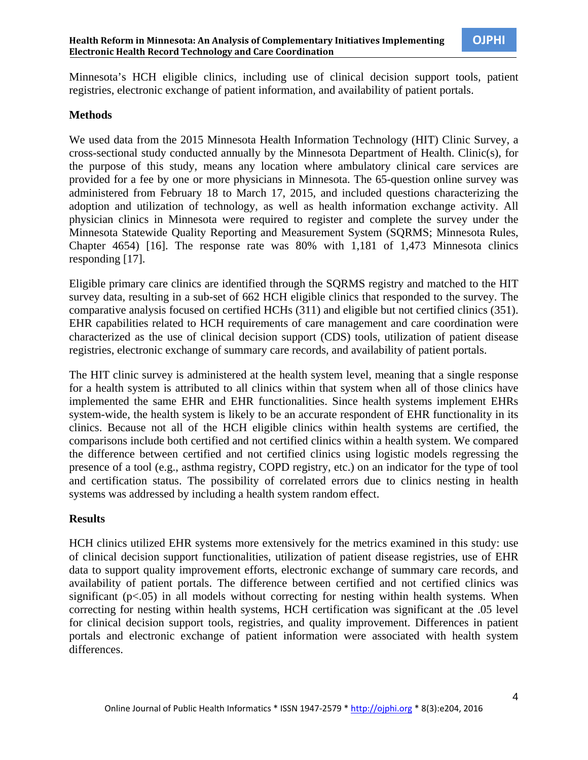Minnesota's HCH eligible clinics, including use of clinical decision support tools, patient registries, electronic exchange of patient information, and availability of patient portals.

#### **Methods**

We used data from the 2015 Minnesota Health Information Technology (HIT) Clinic Survey, a cross-sectional study conducted annually by the Minnesota Department of Health. Clinic(s), for the purpose of this study, means any location where ambulatory clinical care services are provided for a fee by one or more physicians in Minnesota. The 65-question online survey was administered from February 18 to March 17, 2015, and included questions characterizing the adoption and utilization of technology, as well as health information exchange activity. All physician clinics in Minnesota were required to register and complete the survey under the Minnesota Statewide Quality Reporting and Measurement System (SQRMS; Minnesota Rules, Chapter 4654) [16]. The response rate was 80% with 1,181 of 1,473 Minnesota clinics responding [17].

Eligible primary care clinics are identified through the SQRMS registry and matched to the HIT survey data, resulting in a sub-set of 662 HCH eligible clinics that responded to the survey. The comparative analysis focused on certified HCHs (311) and eligible but not certified clinics (351). EHR capabilities related to HCH requirements of care management and care coordination were characterized as the use of clinical decision support (CDS) tools, utilization of patient disease registries, electronic exchange of summary care records, and availability of patient portals.

The HIT clinic survey is administered at the health system level, meaning that a single response for a health system is attributed to all clinics within that system when all of those clinics have implemented the same EHR and EHR functionalities. Since health systems implement EHRs system-wide, the health system is likely to be an accurate respondent of EHR functionality in its clinics. Because not all of the HCH eligible clinics within health systems are certified, the comparisons include both certified and not certified clinics within a health system. We compared the difference between certified and not certified clinics using logistic models regressing the presence of a tool (e.g., asthma registry, COPD registry, etc.) on an indicator for the type of tool and certification status. The possibility of correlated errors due to clinics nesting in health systems was addressed by including a health system random effect.

#### **Results**

HCH clinics utilized EHR systems more extensively for the metrics examined in this study: use of clinical decision support functionalities, utilization of patient disease registries, use of EHR data to support quality improvement efforts, electronic exchange of summary care records, and availability of patient portals. The difference between certified and not certified clinics was significant  $(p<.05)$  in all models without correcting for nesting within health systems. When correcting for nesting within health systems, HCH certification was significant at the .05 level for clinical decision support tools, registries, and quality improvement. Differences in patient portals and electronic exchange of patient information were associated with health system differences.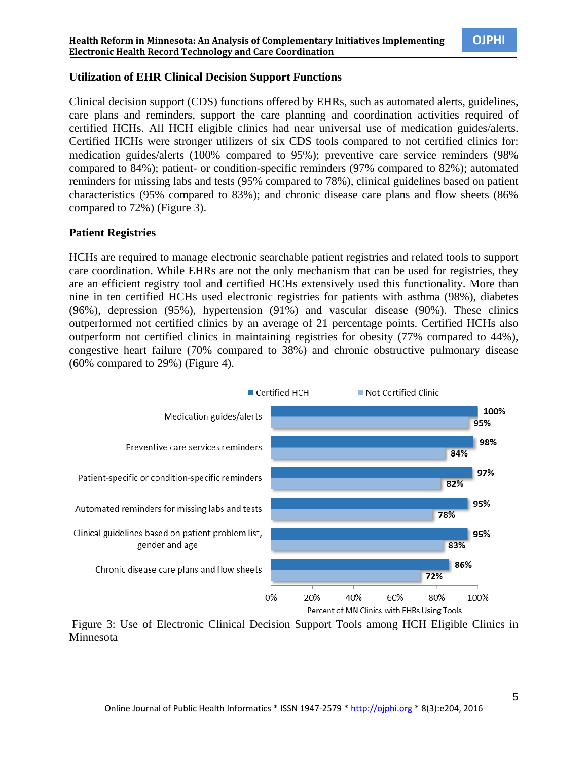#### **Utilization of EHR Clinical Decision Support Functions**

Clinical decision support (CDS) functions offered by EHRs, such as automated alerts, guidelines, care plans and reminders, support the care planning and coordination activities required of certified HCHs. All HCH eligible clinics had near universal use of medication guides/alerts. Certified HCHs were stronger utilizers of six CDS tools compared to not certified clinics for: medication guides/alerts (100% compared to 95%); preventive care service reminders (98% compared to 84%); patient- or condition-specific reminders (97% compared to 82%); automated reminders for missing labs and tests (95% compared to 78%), clinical guidelines based on patient characteristics (95% compared to 83%); and chronic disease care plans and flow sheets (86% compared to 72%) (Figure 3).

#### **Patient Registries**

HCHs are required to manage electronic searchable patient registries and related tools to support care coordination. While EHRs are not the only mechanism that can be used for registries, they are an efficient registry tool and certified HCHs extensively used this functionality. More than nine in ten certified HCHs used electronic registries for patients with asthma (98%), diabetes (96%), depression (95%), hypertension (91%) and vascular disease (90%). These clinics outperformed not certified clinics by an average of 21 percentage points. Certified HCHs also outperform not certified clinics in maintaining registries for obesity (77% compared to 44%), congestive heart failure (70% compared to 38%) and chronic obstructive pulmonary disease (60% compared to 29%) (Figure 4).



Figure 3: Use of Electronic Clinical Decision Support Tools among HCH Eligible Clinics in Minnesota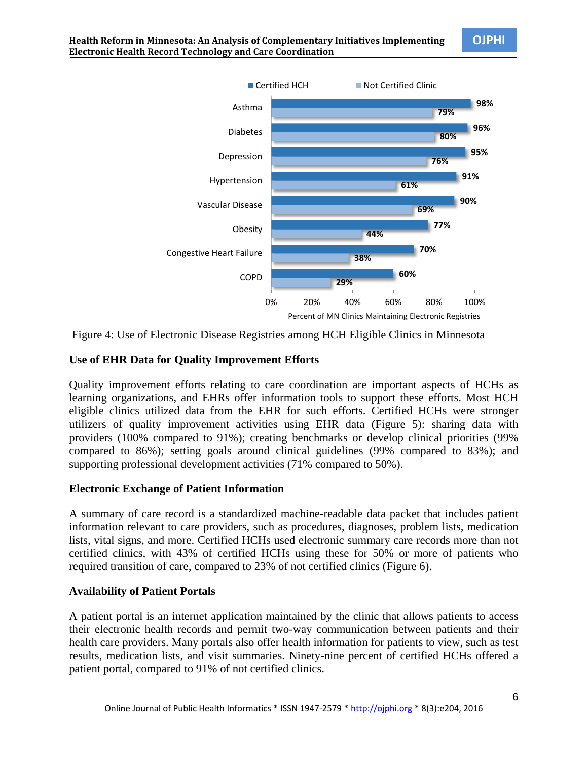

Figure 4: Use of Electronic Disease Registries among HCH Eligible Clinics in Minnesota

## **Use of EHR Data for Quality Improvement Efforts**

Quality improvement efforts relating to care coordination are important aspects of HCHs as learning organizations, and EHRs offer information tools to support these efforts. Most HCH eligible clinics utilized data from the EHR for such efforts. Certified HCHs were stronger utilizers of quality improvement activities using EHR data (Figure 5): sharing data with providers (100% compared to 91%); creating benchmarks or develop clinical priorities (99% compared to 86%); setting goals around clinical guidelines (99% compared to 83%); and supporting professional development activities (71% compared to 50%).

## **Electronic Exchange of Patient Information**

A summary of care record is a standardized machine-readable data packet that includes patient information relevant to care providers, such as procedures, diagnoses, problem lists, medication lists, vital signs, and more. Certified HCHs used electronic summary care records more than not certified clinics, with 43% of certified HCHs using these for 50% or more of patients who required transition of care, compared to 23% of not certified clinics (Figure 6).

## **Availability of Patient Portals**

A patient portal is an internet application maintained by the clinic that allows patients to access their electronic health records and permit two-way communication between patients and their health care providers. Many portals also offer health information for patients to view, such as test results, medication lists, and visit summaries. Ninety-nine percent of certified HCHs offered a patient portal, compared to 91% of not certified clinics.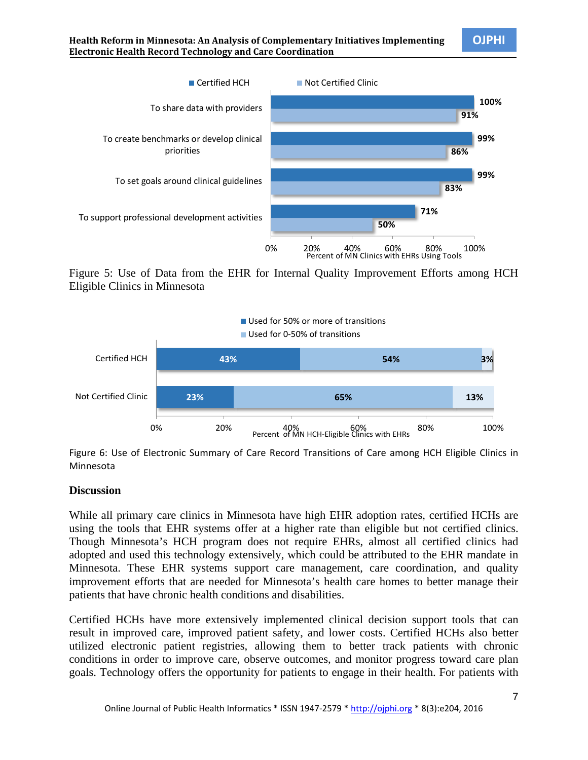

Figure 5: Use of Data from the EHR for Internal Quality Improvement Efforts among HCH Eligible Clinics in Minnesota



Figure 6: Use of Electronic Summary of Care Record Transitions of Care among HCH Eligible Clinics in Minnesota

#### **Discussion**

While all primary care clinics in Minnesota have high EHR adoption rates, certified HCHs are using the tools that EHR systems offer at a higher rate than eligible but not certified clinics. Though Minnesota's HCH program does not require EHRs, almost all certified clinics had adopted and used this technology extensively, which could be attributed to the EHR mandate in Minnesota. These EHR systems support care management, care coordination, and quality improvement efforts that are needed for Minnesota's health care homes to better manage their patients that have chronic health conditions and disabilities.

Certified HCHs have more extensively implemented clinical decision support tools that can result in improved care, improved patient safety, and lower costs. Certified HCHs also better utilized electronic patient registries, allowing them to better track patients with chronic conditions in order to improve care, observe outcomes, and monitor progress toward care plan goals. Technology offers the opportunity for patients to engage in their health. For patients with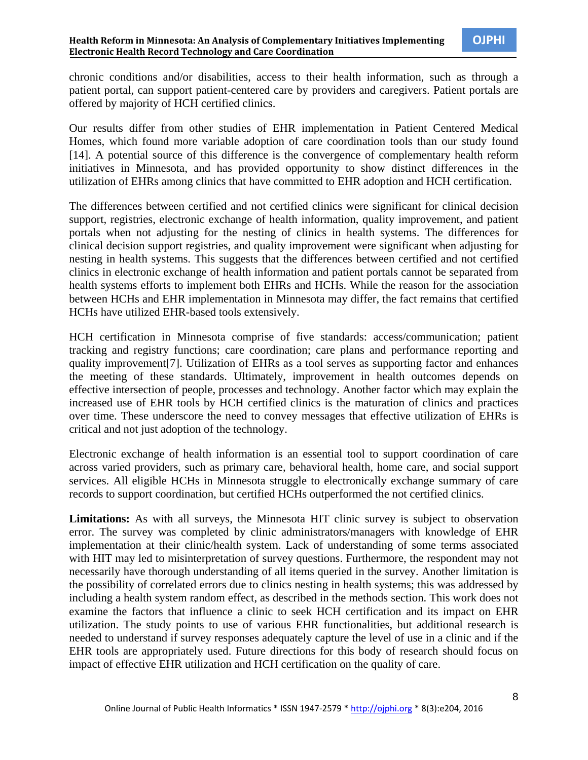chronic conditions and/or disabilities, access to their health information, such as through a patient portal, can support patient-centered care by providers and caregivers. Patient portals are offered by majority of HCH certified clinics.

Our results differ from other studies of EHR implementation in Patient Centered Medical Homes, which found more variable adoption of care coordination tools than our study found [14]. A potential source of this difference is the convergence of complementary health reform initiatives in Minnesota, and has provided opportunity to show distinct differences in the utilization of EHRs among clinics that have committed to EHR adoption and HCH certification.

The differences between certified and not certified clinics were significant for clinical decision support, registries, electronic exchange of health information, quality improvement, and patient portals when not adjusting for the nesting of clinics in health systems. The differences for clinical decision support registries, and quality improvement were significant when adjusting for nesting in health systems. This suggests that the differences between certified and not certified clinics in electronic exchange of health information and patient portals cannot be separated from health systems efforts to implement both EHRs and HCHs. While the reason for the association between HCHs and EHR implementation in Minnesota may differ, the fact remains that certified HCHs have utilized EHR-based tools extensively.

HCH certification in Minnesota comprise of five standards: access/communication; patient tracking and registry functions; care coordination; care plans and performance reporting and quality improvement[7]. Utilization of EHRs as a tool serves as supporting factor and enhances the meeting of these standards. Ultimately, improvement in health outcomes depends on effective intersection of people, processes and technology. Another factor which may explain the increased use of EHR tools by HCH certified clinics is the maturation of clinics and practices over time. These underscore the need to convey messages that effective utilization of EHRs is critical and not just adoption of the technology.

Electronic exchange of health information is an essential tool to support coordination of care across varied providers, such as primary care, behavioral health, home care, and social support services. All eligible HCHs in Minnesota struggle to electronically exchange summary of care records to support coordination, but certified HCHs outperformed the not certified clinics.

**Limitations:** As with all surveys, the Minnesota HIT clinic survey is subject to observation error. The survey was completed by clinic administrators/managers with knowledge of EHR implementation at their clinic/health system. Lack of understanding of some terms associated with HIT may led to misinterpretation of survey questions. Furthermore, the respondent may not necessarily have thorough understanding of all items queried in the survey. Another limitation is the possibility of correlated errors due to clinics nesting in health systems; this was addressed by including a health system random effect, as described in the methods section. This work does not examine the factors that influence a clinic to seek HCH certification and its impact on EHR utilization. The study points to use of various EHR functionalities, but additional research is needed to understand if survey responses adequately capture the level of use in a clinic and if the EHR tools are appropriately used. Future directions for this body of research should focus on impact of effective EHR utilization and HCH certification on the quality of care.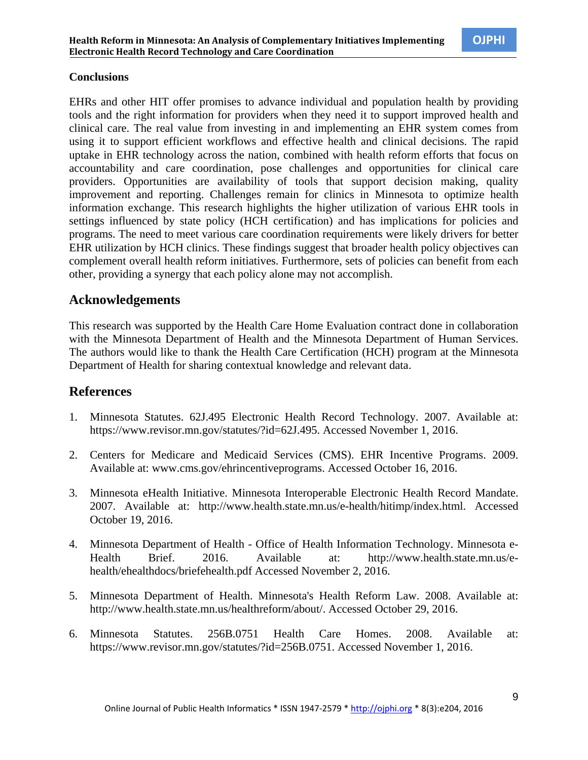### **Conclusions**

EHRs and other HIT offer promises to advance individual and population health by providing tools and the right information for providers when they need it to support improved health and clinical care. The real value from investing in and implementing an EHR system comes from using it to support efficient workflows and effective health and clinical decisions. The rapid uptake in EHR technology across the nation, combined with health reform efforts that focus on accountability and care coordination, pose challenges and opportunities for clinical care providers. Opportunities are availability of tools that support decision making, quality improvement and reporting. Challenges remain for clinics in Minnesota to optimize health information exchange. This research highlights the higher utilization of various EHR tools in settings influenced by state policy (HCH certification) and has implications for policies and programs. The need to meet various care coordination requirements were likely drivers for better EHR utilization by HCH clinics. These findings suggest that broader health policy objectives can complement overall health reform initiatives. Furthermore, sets of policies can benefit from each other, providing a synergy that each policy alone may not accomplish.

# **Acknowledgements**

This research was supported by the Health Care Home Evaluation contract done in collaboration with the Minnesota Department of Health and the Minnesota Department of Human Services. The authors would like to thank the Health Care Certification (HCH) program at the Minnesota Department of Health for sharing contextual knowledge and relevant data.

## **References**

- 1. Minnesota Statutes. 62J.495 Electronic Health Record Technology. 2007. Available at: https://www.revisor.mn.gov/statutes/?id=62J.495. Accessed November 1, 2016.
- 2. Centers for Medicare and Medicaid Services (CMS). EHR Incentive Programs. 2009. Available at: www.cms.gov/ehrincentiveprograms. Accessed October 16, 2016.
- 3. Minnesota eHealth Initiative. Minnesota Interoperable Electronic Health Record Mandate. 2007. Available at: http://www.health.state.mn.us/e-health/hitimp/index.html. Accessed October 19, 2016.
- 4. Minnesota Department of Health Office of Health Information Technology. Minnesota e-Health Brief. 2016. Available at: http://www.health.state.mn.us/ehealth/ehealthdocs/briefehealth.pdf Accessed November 2, 2016.
- 5. Minnesota Department of Health. Minnesota's Health Reform Law. 2008. Available at: http://www.health.state.mn.us/healthreform/about/. Accessed October 29, 2016.
- 6. Minnesota Statutes. 256B.0751 Health Care Homes. 2008. Available at: https://www.revisor.mn.gov/statutes/?id=256B.0751. Accessed November 1, 2016.